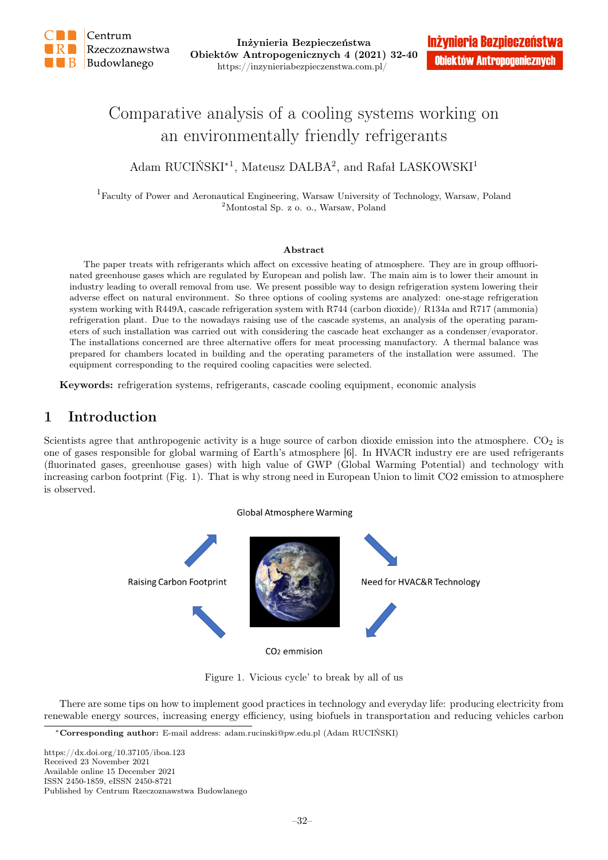

# Comparative analysis of a cooling systems working on an environmentally friendly refrigerants

# Adam RUCIŃSKI<sup>\*1</sup>, Mateusz DALBA<sup>2</sup>, and Rafał LASKOWSKI<sup>1</sup>

<sup>1</sup>Faculty of Power and Aeronautical Engineering, Warsaw University of Technology, Warsaw, Poland <sup>2</sup>Montostal Sp. z o. o., Warsaw, Poland

#### Abstract

The paper treats with refrigerants which affect on excessive heating of atmosphere. They are in group offluorinated greenhouse gases which are regulated by European and polish law. The main aim is to lower their amount in industry leading to overall removal from use. We present possible way to design refrigeration system lowering their adverse effect on natural environment. So three options of cooling systems are analyzed: one-stage refrigeration system working with R449A, cascade refrigeration system with R744 (carbon dioxide)/ R134a and R717 (ammonia) refrigeration plant. Due to the nowadays raising use of the cascade systems, an analysis of the operating parameters of such installation was carried out with considering the cascade heat exchanger as a condenser/evaporator. The installations concerned are three alternative offers for meat processing manufactory. A thermal balance was prepared for chambers located in building and the operating parameters of the installation were assumed. The equipment corresponding to the required cooling capacities were selected.

Keywords: refrigeration systems, refrigerants, cascade cooling equipment, economic analysis

# 1 Introduction

Scientists agree that anthropogenic activity is a huge source of carbon dioxide emission into the atmosphere.  $CO<sub>2</sub>$  is one of gases responsible for global warming of Earth's atmosphere [6]. In HVACR industry ere are used refrigerants (fluorinated gases, greenhouse gases) with high value of GWP (Global Warming Potential) and technology with increasing carbon footprint (Fig. 1). That is why strong need in European Union to limit CO2 emission to atmosphere is observed.





Figure 1. Vicious cycle' to break by all of us

There are some tips on how to implement good practices in technology and everyday life: producing electricity from renewable energy sources, increasing energy efficiency, using biofuels in transportation and reducing vehicles carbon

https://dx.doi.org/10.37105/iboa.123 Received 23 November 2021 Available online 15 December 2021 ISSN 2450-1859, eISSN 2450-8721 Published by Centrum Rzeczoznawstwa Budowlanego

<sup>∗</sup>Corresponding author: E-mail address: adam.rucinski@pw.edu.pl (Adam RUCIŃSKI)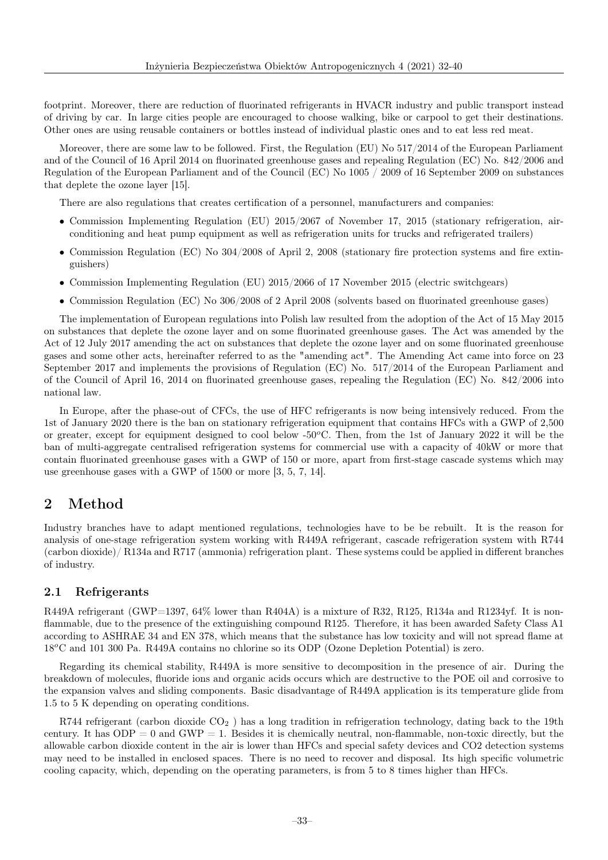footprint. Moreover, there are reduction of fluorinated refrigerants in HVACR industry and public transport instead of driving by car. In large cities people are encouraged to choose walking, bike or carpool to get their destinations. Other ones are using reusable containers or bottles instead of individual plastic ones and to eat less red meat.

Moreover, there are some law to be followed. First, the Regulation (EU) No 517/2014 of the European Parliament and of the Council of 16 April 2014 on fluorinated greenhouse gases and repealing Regulation (EC) No. 842/2006 and Regulation of the European Parliament and of the Council (EC) No 1005 / 2009 of 16 September 2009 on substances that deplete the ozone layer [15].

There are also regulations that creates certification of a personnel, manufacturers and companies:

- Commission Implementing Regulation (EU) 2015/2067 of November 17, 2015 (stationary refrigeration, airconditioning and heat pump equipment as well as refrigeration units for trucks and refrigerated trailers)
- Commission Regulation (EC) No 304/2008 of April 2, 2008 (stationary fire protection systems and fire extinguishers)
- Commission Implementing Regulation (EU) 2015/2066 of 17 November 2015 (electric switchgears)
- Commission Regulation (EC) No 306/2008 of 2 April 2008 (solvents based on fluorinated greenhouse gases)

The implementation of European regulations into Polish law resulted from the adoption of the Act of 15 May 2015 on substances that deplete the ozone layer and on some fluorinated greenhouse gases. The Act was amended by the Act of 12 July 2017 amending the act on substances that deplete the ozone layer and on some fluorinated greenhouse gases and some other acts, hereinafter referred to as the "amending act". The Amending Act came into force on 23 September 2017 and implements the provisions of Regulation (EC) No. 517/2014 of the European Parliament and of the Council of April 16, 2014 on fluorinated greenhouse gases, repealing the Regulation (EC) No. 842/2006 into national law.

In Europe, after the phase-out of CFCs, the use of HFC refrigerants is now being intensively reduced. From the 1st of January 2020 there is the ban on stationary refrigeration equipment that contains HFCs with a GWP of 2,500 or greater, except for equipment designed to cool below  $-50^{\circ}$ C. Then, from the 1st of January 2022 it will be the ban of multi-aggregate centralised refrigeration systems for commercial use with a capacity of 40kW or more that contain fluorinated greenhouse gases with a GWP of 150 or more, apart from first-stage cascade systems which may use greenhouse gases with a GWP of 1500 or more [3, 5, 7, 14].

## 2 Method

Industry branches have to adapt mentioned regulations, technologies have to be be rebuilt. It is the reason for analysis of one-stage refrigeration system working with R449A refrigerant, cascade refrigeration system with R744 (carbon dioxide)/ R134a and R717 (ammonia) refrigeration plant. These systems could be applied in different branches of industry.

### 2.1 Refrigerants

R449A refrigerant (GWP=1397, 64% lower than R404A) is a mixture of R32, R125, R134a and R1234yf. It is nonflammable, due to the presence of the extinguishing compound R125. Therefore, it has been awarded Safety Class A1 according to ASHRAE 34 and EN 378, which means that the substance has low toxicity and will not spread flame at 18<sup>o</sup>C and 101 300 Pa. R449A contains no chlorine so its ODP (Ozone Depletion Potential) is zero.

Regarding its chemical stability, R449A is more sensitive to decomposition in the presence of air. During the breakdown of molecules, fluoride ions and organic acids occurs which are destructive to the POE oil and corrosive to the expansion valves and sliding components. Basic disadvantage of R449A application is its temperature glide from 1.5 to 5 K depending on operating conditions.

R744 refrigerant (carbon dioxide  $CO<sub>2</sub>$ ) has a long tradition in refrigeration technology, dating back to the 19th century. It has  $ODP = 0$  and  $GWP = 1$ . Besides it is chemically neutral, non-flammable, non-toxic directly, but the allowable carbon dioxide content in the air is lower than HFCs and special safety devices and CO2 detection systems may need to be installed in enclosed spaces. There is no need to recover and disposal. Its high specific volumetric cooling capacity, which, depending on the operating parameters, is from 5 to 8 times higher than HFCs.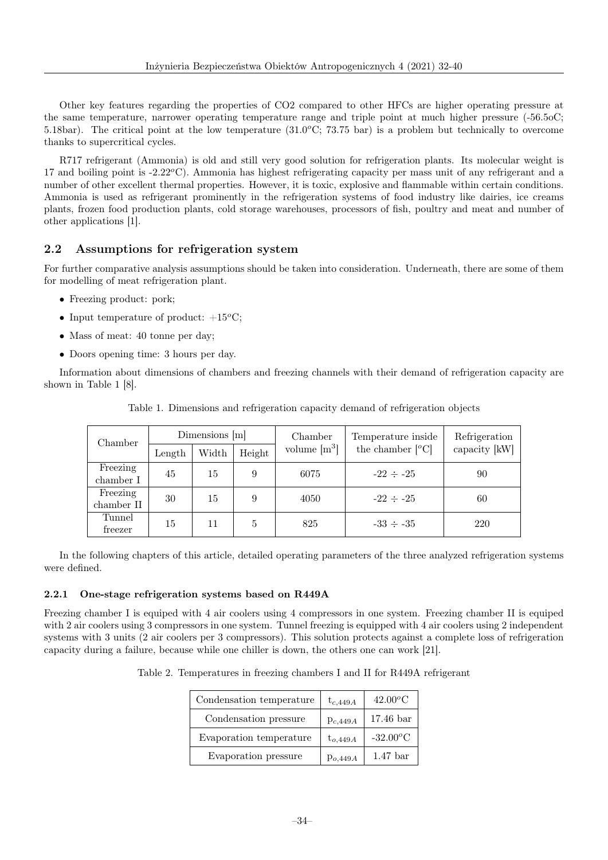Other key features regarding the properties of CO2 compared to other HFCs are higher operating pressure at the same temperature, narrower operating temperature range and triple point at much higher pressure (-56.5oC; 5.18bar). The critical point at the low temperature  $(31.0^{\circ}\text{C}; 73.75 \text{ bar})$  is a problem but technically to overcome thanks to supercritical cycles.

R717 refrigerant (Ammonia) is old and still very good solution for refrigeration plants. Its molecular weight is 17 and boiling point is  $-2.22^{\circ}$ C). Ammonia has highest refrigerating capacity per mass unit of any refrigerant and a number of other excellent thermal properties. However, it is toxic, explosive and flammable within certain conditions. Ammonia is used as refrigerant prominently in the refrigeration systems of food industry like dairies, ice creams plants, frozen food production plants, cold storage warehouses, processors of fish, poultry and meat and number of other applications [1].

### 2.2 Assumptions for refrigeration system

For further comparative analysis assumptions should be taken into consideration. Underneath, there are some of them for modelling of meat refrigeration plant.

- Freezing product: pork;
- Input temperature of product:  $+15^{\circ}$ C;
- Mass of meat: 40 tonne per day;
- Doors opening time: 3 hours per day.

Information about dimensions of chambers and freezing channels with their demand of refrigeration capacity are shown in Table 1 [8].

| Chamber                | Dimensions $[m]$ |       | Chamber | Temperature inside                                       | Refrigeration  |               |
|------------------------|------------------|-------|---------|----------------------------------------------------------|----------------|---------------|
|                        | Length           | Width | Height  | volume $\rm{[m^3]}$<br>the chamber $\lbrack^{o}C\rbrack$ |                | capacity [kW] |
| Freezing<br>chamber I  | 45               | 15    | 9       | 6075                                                     | $-22 \div -25$ | 90            |
| Freezing<br>chamber II | 30               | 15    | 9       | 4050                                                     | $-22 \div -25$ | 60            |
| Tunnel<br>freezer      | 15               | 11    | 5       | 825                                                      | $-33 \div -35$ | 220           |

Table 1. Dimensions and refrigeration capacity demand of refrigeration objects

In the following chapters of this article, detailed operating parameters of the three analyzed refrigeration systems were defined.

#### 2.2.1 One-stage refrigeration systems based on R449A

Freezing chamber I is equiped with 4 air coolers using 4 compressors in one system. Freezing chamber II is equiped with 2 air coolers using 3 compressors in one system. Tunnel freezing is equipped with 4 air coolers using 2 independent systems with 3 units (2 air coolers per 3 compressors). This solution protects against a complete loss of refrigeration capacity during a failure, because while one chiller is down, the others one can work [21].

Table 2. Temperatures in freezing chambers I and II for R449A refrigerant

| Condensation temperature | $t_{c,449A}$ | $42.00\textdegree C$  |
|--------------------------|--------------|-----------------------|
| Condensation pressure    | $p_{c,449A}$ | $17.46\,\mathrm{bar}$ |
| Evaporation temperature  | $t_{o,449A}$ | $-32.00^{\circ}$ C    |
| Evaporation pressure     | $p_{o,449A}$ | $1.47$ bar            |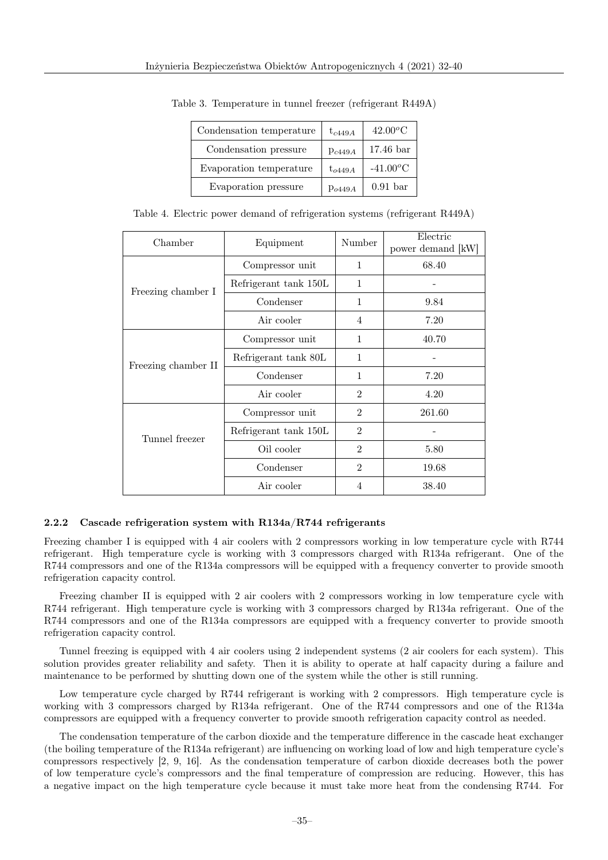| Condensation temperature | $t_{c449A}$ | $42.00\textdegree C$  |
|--------------------------|-------------|-----------------------|
| Condensation pressure    | Pc449A      | $17.46\,\mathrm{bar}$ |
| Evaporation temperature  | $t_{o449A}$ | $-41.00\text{°C}$     |
| Evaporation pressure     | Po449A      | $0.91$ bar            |

Table 3. Temperature in tunnel freezer (refrigerant R449A)

| Table 4. Electric power demand of refrigeration systems (refrigerant R449A) |  |  |  |  |  |  |  |
|-----------------------------------------------------------------------------|--|--|--|--|--|--|--|
|-----------------------------------------------------------------------------|--|--|--|--|--|--|--|

| Chamber             | Equipment             | Number         | Electric<br>power demand [kW] |
|---------------------|-----------------------|----------------|-------------------------------|
|                     | Compressor unit       | $\mathbf{1}$   | 68.40                         |
| Freezing chamber I  | Refrigerant tank 150L | 1              |                               |
|                     | Condenser             | $\mathbf{1}$   | 9.84                          |
|                     | Air cooler            | 4              | 7.20                          |
|                     | Compressor unit       | $\mathbf{1}$   | 40.70                         |
| Freezing chamber II | Refrigerant tank 80L  | 1              |                               |
|                     | Condenser             | $\mathbf{1}$   | 7.20                          |
|                     | Air cooler            | $\overline{2}$ | 4.20                          |
|                     | Compressor unit       | $\overline{2}$ | 261.60                        |
| Tunnel freezer      | Refrigerant tank 150L | $\overline{2}$ |                               |
|                     | Oil cooler            | $\overline{2}$ | 5.80                          |
|                     | Condenser             | $\mathfrak{D}$ | 19.68                         |
|                     | Air cooler            | 4              | 38.40                         |

### 2.2.2 Cascade refrigeration system with R134a/R744 refrigerants

Freezing chamber I is equipped with 4 air coolers with 2 compressors working in low temperature cycle with R744 refrigerant. High temperature cycle is working with 3 compressors charged with R134a refrigerant. One of the R744 compressors and one of the R134a compressors will be equipped with a frequency converter to provide smooth refrigeration capacity control.

Freezing chamber II is equipped with 2 air coolers with 2 compressors working in low temperature cycle with R744 refrigerant. High temperature cycle is working with 3 compressors charged by R134a refrigerant. One of the R744 compressors and one of the R134a compressors are equipped with a frequency converter to provide smooth refrigeration capacity control.

Tunnel freezing is equipped with 4 air coolers using 2 independent systems (2 air coolers for each system). This solution provides greater reliability and safety. Then it is ability to operate at half capacity during a failure and maintenance to be performed by shutting down one of the system while the other is still running.

Low temperature cycle charged by R744 refrigerant is working with 2 compressors. High temperature cycle is working with 3 compressors charged by R134a refrigerant. One of the R744 compressors and one of the R134a compressors are equipped with a frequency converter to provide smooth refrigeration capacity control as needed.

The condensation temperature of the carbon dioxide and the temperature difference in the cascade heat exchanger (the boiling temperature of the R134a refrigerant) are influencing on working load of low and high temperature cycle's compressors respectively [2, 9, 16]. As the condensation temperature of carbon dioxide decreases both the power of low temperature cycle's compressors and the final temperature of compression are reducing. However, this has a negative impact on the high temperature cycle because it must take more heat from the condensing R744. For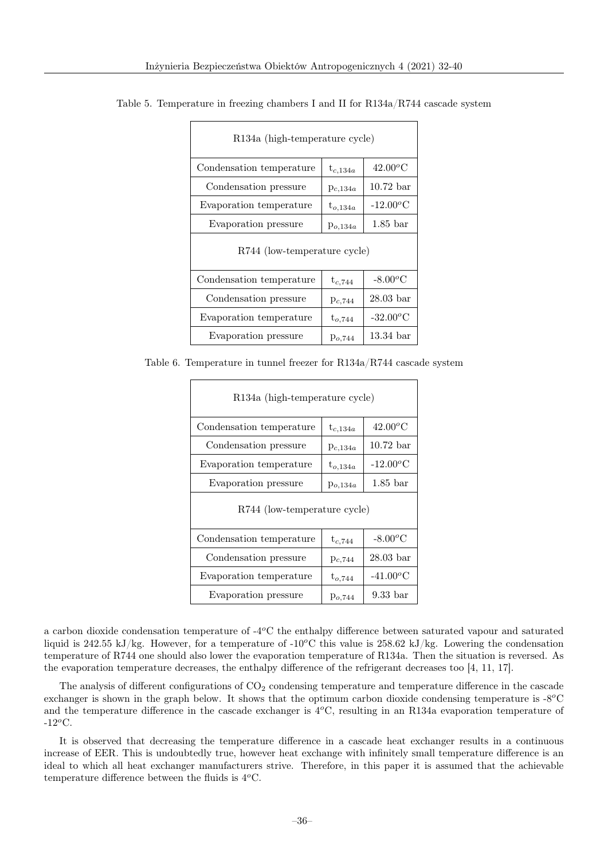| R134a (high-temperature cycle) |              |                       |  |  |
|--------------------------------|--------------|-----------------------|--|--|
| Condensation temperature       | $t_{c,134a}$ | $42.00^{\circ}$ C     |  |  |
| Condensation pressure          | $p_{c,134a}$ | $10.72$ bar           |  |  |
| Evaporation temperature        | $t_{o,134a}$ | $-12.00^{\circ}$ C    |  |  |
| Evaporation pressure           | $p_{o,134a}$ | $1.85$ bar            |  |  |
| R744 (low-temperature cycle)   |              |                       |  |  |
| Condensation temperature       | $t_{c,744}$  | $-8.00^{\circ}$ C     |  |  |
| Condensation pressure          | $p_{c,744}$  | $28.03\,\mathrm{bar}$ |  |  |
| Evaporation temperature        | $t_{o,744}$  | $-32.00^{\circ}$ C    |  |  |
| Evaporation pressure           | $p_{o,744}$  | $13.34\,\mathrm{bar}$ |  |  |

Table 5. Temperature in freezing chambers I and II for R134a/R744 cascade system

Table 6. Temperature in tunnel freezer for R134a/R744 cascade system

| R134a (high-temperature cycle) |              |                       |  |
|--------------------------------|--------------|-----------------------|--|
| Condensation temperature       | $t_{c,134a}$ | $42.00^{\circ}$ C     |  |
| Condensation pressure          | $p_{c,134a}$ | $10.72\,\mathrm{bar}$ |  |
| Evaporation temperature        | $t_{o,134a}$ | $-12.00\textdegree C$ |  |
| Evaporation pressure           | $p_{o,134a}$ | $1.85$ bar            |  |
| R744 (low-temperature cycle)   |              |                       |  |
| Condensation temperature       | $t_{c,744}$  | $-8.00^{\circ}$ C     |  |
| Condensation pressure          | $p_{c,744}$  | $28.03\,\mathrm{bar}$ |  |
| Evaporation temperature        | $t_{o,744}$  | $-41.00^{\circ}$ C    |  |
| Evaporation pressure           | $p_{o,744}$  | 9.33 bar              |  |

a carbon dioxide condensation temperature of  $-4^{\circ}\text{C}$  the enthalpy difference between saturated vapour and saturated liquid is 242.55 kJ/kg. However, for a temperature of -10 $^{\circ}$ C this value is 258.62 kJ/kg. Lowering the condensation temperature of R744 one should also lower the evaporation temperature of R134a. Then the situation is reversed. As the evaporation temperature decreases, the enthalpy difference of the refrigerant decreases too [4, 11, 17].

The analysis of different configurations of  $CO<sub>2</sub>$  condensing temperature and temperature difference in the cascade exchanger is shown in the graph below. It shows that the optimum carbon dioxide condensing temperature is  $-8^{\circ}\text{C}$ and the temperature difference in the cascade exchanger is  $4^{\circ}$ C, resulting in an R134a evaporation temperature of  $-12^{\circ}$ C.

It is observed that decreasing the temperature difference in a cascade heat exchanger results in a continuous increase of EER. This is undoubtedly true, however heat exchange with infinitely small temperature difference is an ideal to which all heat exchanger manufacturers strive. Therefore, in this paper it is assumed that the achievable temperature difference between the fluids is  $4^{\circ}$ C.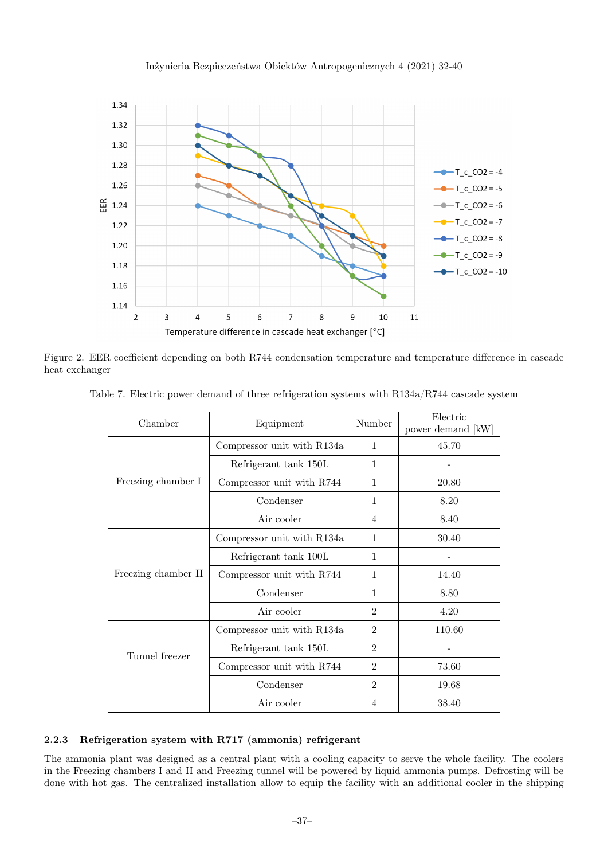

Figure 2. EER coefficient depending on both R744 condensation temperature and temperature difference in cascade heat exchanger

| Chamber             | Equipment                  | Number         | Electric<br>power demand [kW] |
|---------------------|----------------------------|----------------|-------------------------------|
|                     | Compressor unit with R134a | $\mathbf{1}$   | 45.70                         |
|                     | Refrigerant tank 150L      | $\mathbf{1}$   |                               |
| Freezing chamber I  | Compressor unit with R744  | 1              | 20.80                         |
|                     | Condenser                  | $\mathbf{1}$   | 8.20                          |
|                     | Air cooler                 | $\overline{4}$ | 8.40                          |
|                     | Compressor unit with R134a | $\mathbf{1}$   | 30.40                         |
|                     | Refrigerant tank 100L      | $\mathbf{1}$   |                               |
| Freezing chamber II | Compressor unit with R744  | $\mathbf{1}$   | 14.40                         |
|                     | Condenser                  | $\mathbf{1}$   | 8.80                          |
|                     | Air cooler                 | $\overline{2}$ | 4.20                          |
|                     | Compressor unit with R134a | $\overline{2}$ | 110.60                        |
| Tunnel freezer      | Refrigerant tank 150L      | $\overline{2}$ |                               |
|                     | Compressor unit with R744  | $\mathfrak{D}$ | 73.60                         |
|                     | Condenser                  | $\overline{2}$ | 19.68                         |
|                     | Air cooler                 | 4              | 38.40                         |

Table 7. Electric power demand of three refrigeration systems with R134a/R744 cascade system

### 2.2.3 Refrigeration system with R717 (ammonia) refrigerant

The ammonia plant was designed as a central plant with a cooling capacity to serve the whole facility. The coolers in the Freezing chambers I and II and Freezing tunnel will be powered by liquid ammonia pumps. Defrosting will be done with hot gas. The centralized installation allow to equip the facility with an additional cooler in the shipping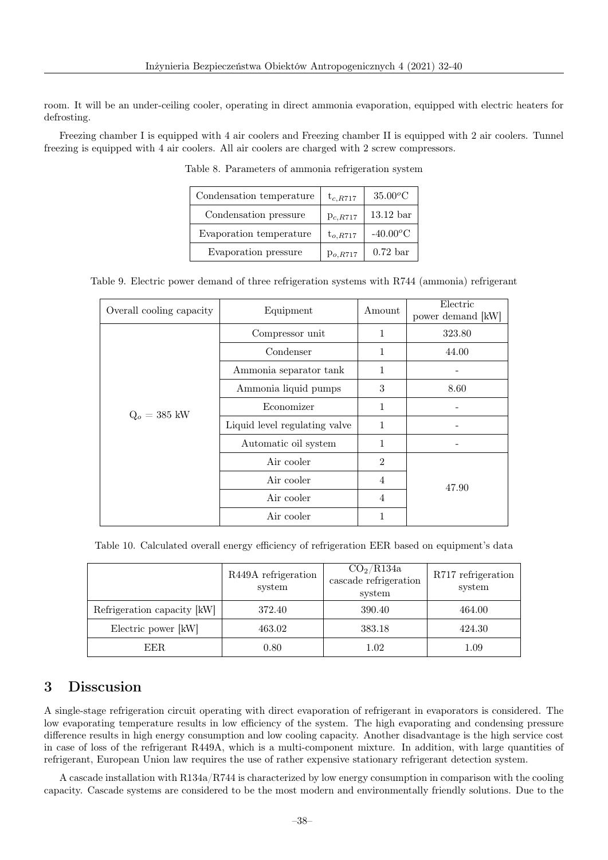room. It will be an under-ceiling cooler, operating in direct ammonia evaporation, equipped with electric heaters for defrosting.

Freezing chamber I is equipped with 4 air coolers and Freezing chamber II is equipped with 2 air coolers. Tunnel freezing is equipped with 4 air coolers. All air coolers are charged with 2 screw compressors.

| Condensation temperature | $t_{c,R717}$  | $35.00^oC$  |
|--------------------------|---------------|-------------|
| Condensation pressure    | $p_{c,R717}$  | $13.12$ bar |
| Evaporation temperature  | $t_{o, R717}$ | $-40.00^oC$ |
| Evaporation pressure     | $p_{o,R717}$  | $0.72$ bar  |

Table 8. Parameters of ammonia refrigeration system

Table 9. Electric power demand of three refrigeration systems with R744 (ammonia) refrigerant

| Overall cooling capacity | Equipment                     | Amount         | Electric<br>power demand [kW] |
|--------------------------|-------------------------------|----------------|-------------------------------|
|                          | Compressor unit               | 1              | 323.80                        |
|                          | Condenser                     | 1              | 44.00                         |
|                          | Ammonia separator tank        | 1              |                               |
|                          | Ammonia liquid pumps          | 3              | 8.60                          |
| $Q_o = 385$ kW           | Economizer                    | 1              |                               |
|                          | Liquid level regulating valve | 1              |                               |
|                          | Automatic oil system          | 1              |                               |
|                          | Air cooler                    | $\overline{2}$ |                               |
|                          | Air cooler                    | 4              | 47.90                         |
|                          | Air cooler                    | 4              |                               |
|                          | Air cooler                    | 1              |                               |

Table 10. Calculated overall energy efficiency of refrigeration EER based on equipment's data

|                             | R449A refrigeration<br>system | CO <sub>2</sub> /R134a<br>cascade refrigeration<br>system | R717 refrigeration<br>system |
|-----------------------------|-------------------------------|-----------------------------------------------------------|------------------------------|
| Refrigeration capacity [kW] | 372.40                        | 390.40                                                    | 464.00                       |
| Electric power [kW]         | 463.02                        | 383.18                                                    | 424.30                       |
| EER.                        | 0.80                          | $1.02\,$                                                  | 1.09                         |

### 3 Disscusion

A single-stage refrigeration circuit operating with direct evaporation of refrigerant in evaporators is considered. The low evaporating temperature results in low efficiency of the system. The high evaporating and condensing pressure difference results in high energy consumption and low cooling capacity. Another disadvantage is the high service cost in case of loss of the refrigerant R449A, which is a multi-component mixture. In addition, with large quantities of refrigerant, European Union law requires the use of rather expensive stationary refrigerant detection system.

A cascade installation with R134a/R744 is characterized by low energy consumption in comparison with the cooling capacity. Cascade systems are considered to be the most modern and environmentally friendly solutions. Due to the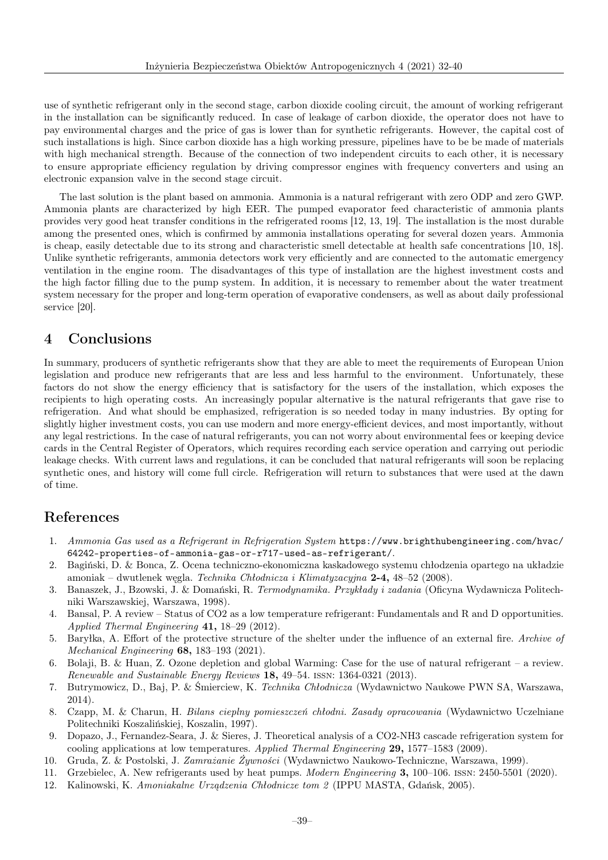use of synthetic refrigerant only in the second stage, carbon dioxide cooling circuit, the amount of working refrigerant in the installation can be significantly reduced. In case of leakage of carbon dioxide, the operator does not have to pay environmental charges and the price of gas is lower than for synthetic refrigerants. However, the capital cost of such installations is high. Since carbon dioxide has a high working pressure, pipelines have to be be made of materials with high mechanical strength. Because of the connection of two independent circuits to each other, it is necessary to ensure appropriate efficiency regulation by driving compressor engines with frequency converters and using an electronic expansion valve in the second stage circuit.

The last solution is the plant based on ammonia. Ammonia is a natural refrigerant with zero ODP and zero GWP. Ammonia plants are characterized by high EER. The pumped evaporator feed characteristic of ammonia plants provides very good heat transfer conditions in the refrigerated rooms [12, 13, 19]. The installation is the most durable among the presented ones, which is confirmed by ammonia installations operating for several dozen years. Ammonia is cheap, easily detectable due to its strong and characteristic smell detectable at health safe concentrations [10, 18]. Unlike synthetic refrigerants, ammonia detectors work very efficiently and are connected to the automatic emergency ventilation in the engine room. The disadvantages of this type of installation are the highest investment costs and the high factor filling due to the pump system. In addition, it is necessary to remember about the water treatment system necessary for the proper and long-term operation of evaporative condensers, as well as about daily professional service [20].

### 4 Conclusions

In summary, producers of synthetic refrigerants show that they are able to meet the requirements of European Union legislation and produce new refrigerants that are less and less harmful to the environment. Unfortunately, these factors do not show the energy efficiency that is satisfactory for the users of the installation, which exposes the recipients to high operating costs. An increasingly popular alternative is the natural refrigerants that gave rise to refrigeration. And what should be emphasized, refrigeration is so needed today in many industries. By opting for slightly higher investment costs, you can use modern and more energy-efficient devices, and most importantly, without any legal restrictions. In the case of natural refrigerants, you can not worry about environmental fees or keeping device cards in the Central Register of Operators, which requires recording each service operation and carrying out periodic leakage checks. With current laws and regulations, it can be concluded that natural refrigerants will soon be replacing synthetic ones, and history will come full circle. Refrigeration will return to substances that were used at the dawn of time.

### References

- 1. Ammonia Gas used as a Refrigerant in Refrigeration System https://www.brighthubengineering.com/hvac/ 64242-properties-of-ammonia-gas-or-r717-used-as-refrigerant/.
- 2. Bagiński, D. & Bonca, Z. Ocena techniczno-ekonomiczna kaskadowego systemu chłodzenia opartego na układzie amoniak – dwutlenek węgla. Technika Chłodnicza i Klimatyzacyjna 2-4, 48–52 (2008).
- 3. Banaszek, J., Bzowski, J. & Domański, R. Termodynamika. Przykłady i zadania (Oficyna Wydawnicza Politechniki Warszawskiej, Warszawa, 1998).
- 4. Bansal, P. A review Status of CO2 as a low temperature refrigerant: Fundamentals and R and D opportunities. Applied Thermal Engineering 41, 18–29 (2012).
- 5. Baryłka, A. Effort of the protective structure of the shelter under the influence of an external fire. Archive of Mechanical Engineering 68, 183–193 (2021).
- 6. Bolaji, B. & Huan, Z. Ozone depletion and global Warming: Case for the use of natural refrigerant a review. Renewable and Sustainable Energy Reviews 18, 49–54. issn: 1364-0321 (2013).
- 7. Butrymowicz, D., Baj, P. & Śmierciew, K. Technika Chłodnicza (Wydawnictwo Naukowe PWN SA, Warszawa, 2014).
- 8. Czapp, M. & Charun, H. Bilans cieplny pomieszczeń chłodni. Zasady opracowania (Wydawnictwo Uczelniane Politechniki Koszalińskiej, Koszalin, 1997).
- 9. Dopazo, J., Fernandez-Seara, J. & Sieres, J. Theoretical analysis of a CO2-NH3 cascade refrigeration system for cooling applications at low temperatures. Applied Thermal Engineering 29, 1577–1583 (2009).
- 10. Gruda, Z. & Postolski, J. Zamrażanie Żywności (Wydawnictwo Naukowo-Techniczne, Warszawa, 1999).
- 11. Grzebielec, A. New refrigerants used by heat pumps. Modern Engineering 3, 100–106. issn: 2450-5501 (2020).
- 12. Kalinowski, K. Amoniakalne Urządzenia Chłodnicze tom 2 (IPPU MASTA, Gdańsk, 2005).